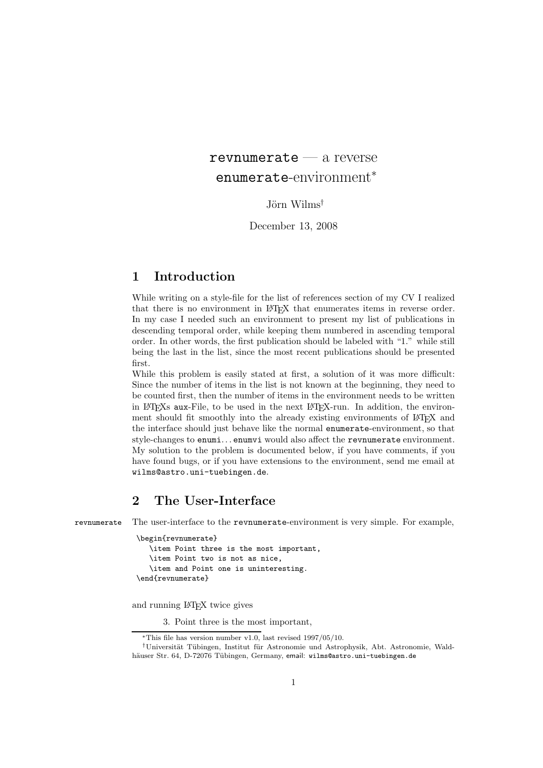# $revnumerate - a reverse$ enumerate-environment<sup>∗</sup>

Jörn Wilms*†*

December 13, 2008

## **1 Introduction**

While writing on a style-file for the list of references section of my CV I realized that there is no environment in LATEX that enumerates items in reverse order. In my case I needed such an environment to present my list of publications in descending temporal order, while keeping them numbered in ascending temporal order. In other words, the first publication should be labeled with "1." while still being the last in the list, since the most recent publications should be presented first.

While this problem is easily stated at first, a solution of it was more difficult: Since the number of items in the list is not known at the beginning, they need to be counted first, then the number of items in the environment needs to be written in LAT<sub>EX</sub>'s aux-File, to be used in the next LAT<sub>EX</sub>-run. In addition, the environment should fit smoothly into the already existing environments of LATEX and the interface should just behave like the normal enumerate-environment, so that style-changes to enumi... enumvi would also affect the revnumerate environment. My solution to the problem is documented below, if you have comments, if you have found bugs, or if you have extensions to the environment, send me email at wilms@astro.uni-tuebingen.de.

## **2 The User-Interface**

revnumerate The user-interface to the revnumerate-environment is very simple. For example,

```
\begin{revnumerate}
   \item Point three is the most important,
   \item Point two is not as nice,
   \item and Point one is uninteresting.
\end{revnumerate}
```
and running LATEX twice gives

3. Point three is the most important,

<sup>∗</sup>This file has version number v1.0, last revised 1997/05/10.

<sup>†</sup>Universität Tübingen, Institut für Astronomie und Astrophysik, Abt. Astronomie, Waldhäuser Str. 64, D-72076 Tübingen, Germany, email: wilms@astro.uni-tuebingen.de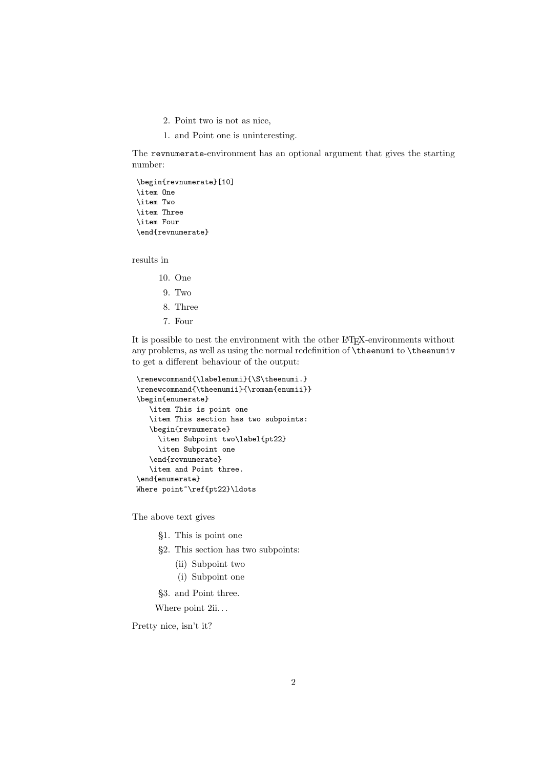- 2. Point two is not as nice,
- 1. and Point one is uninteresting.

The revnumerate-environment has an optional argument that gives the starting number:

```
\begin{revnumerate}[10]
\item One
\item Two
\item Three
\item Four
\end{revnumerate}
```
results in

- 10. One
- 9. Two
- 8. Three
- 7. Four

It is possible to nest the environment with the other LATEX-environments without any problems, as well as using the normal redefinition of \theenumi to \theenumiv to get a different behaviour of the output:

```
\renewcommand{\labelenumi}{\S\theenumi.}
\renewcommand{\theenumii}{\roman{enumii}}
\begin{enumerate}
   \item This is point one
   \item This section has two subpoints:
   \begin{revnumerate}
     \item Subpoint two\label{pt22}
     \item Subpoint one
   \end{revnumerate}
   \item and Point three.
\end{enumerate}
Where point~\ref{pt22}\ldots
```
The above text gives

- §1. This is point one
- §2. This section has two subpoints:
	- (ii) Subpoint two
	- (i) Subpoint one

§3. and Point three.

Where point  $2ii...$ 

Pretty nice, isn't it?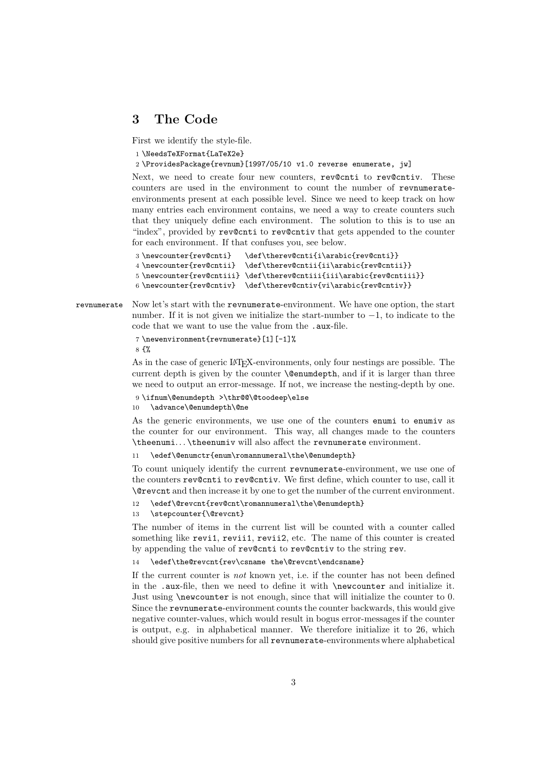#### **3 The Code**

First we identify the style-file.

1 \NeedsTeXFormat{LaTeX2e}

2 \ProvidesPackage{revnum}[1997/05/10 v1.0 reverse enumerate, jw]

Next, we need to create four new counters, rev@cnti to rev@cntiv. These counters are used in the environment to count the number of revnumerateenvironments present at each possible level. Since we need to keep track on how many entries each environment contains, we need a way to create counters such that they uniquely define each environment. The solution to this is to use an "index", provided by rev@cnti to rev@cntiv that gets appended to the counter for each environment. If that confuses you, see below.

```
3 \newcounter{rev@cnti} \def\therev@cnti{i\arabic{rev@cnti}}
4 \newcounter{rev@cntii} \def\therev@cntii{ii\arabic{rev@cntii}}
5 \newcounter{rev@cntiii} \def\therev@cntiii{iii\arabic{rev@cntiii}}
6 \newarrow 6 \newarrow 6 \newarrow 6 \newarrow 7
```
revnumerate Now let's start with the revnumerate-environment. We have one option, the start number. If it is not given we initialize the start-number to  $-1$ , to indicate to the code that we want to use the value from the .aux-file.

7 \newenvironment{revnumerate}[1][-1]%

8 {%

As in the case of generic LAT<sub>EX</sub>-environments, only four nestings are possible. The current depth is given by the counter **\@enumdepth**, and if it is larger than three we need to output an error-message. If not, we increase the nesting-depth by one.

9 \ifnum\@enumdepth >\thr@@\@toodeep\else

10 \advance\@enumdepth\@ne

As the generic environments, we use one of the counters enumi to enumiv as the counter for our environment. This way, all changes made to the counters \theenumi... \theenumiv will also affect the revnumerate environment.

#### 11 \edef\@enumctr{enum\romannumeral\the\@enumdepth}

To count uniquely identify the current revnumerate-environment, we use one of the counters rev@cnti to rev@cntiv. We first define, which counter to use, call it \@revcnt and then increase it by one to get the number of the current environment.

- 12 \edef\@revcnt{rev@cnt\romannumeral\the\@enumdepth}
- 13 \stepcounter{\@revcnt}

The number of items in the current list will be counted with a counter called something like revi1, revii1, revii2, etc. The name of this counter is created by appending the value of rev@cnti to rev@cntiv to the string rev.

14 \edef\the@revcnt{rev\csname the\@revcnt\endcsname}

If the current counter is *not* known yet, i.e. if the counter has not been defined in the .aux-file, then we need to define it with \newcounter and initialize it. Just using \newcounter is not enough, since that will initialize the counter to 0. Since the revnumerate-environment counts the counter backwards, this would give negative counter-values, which would result in bogus error-messages if the counter is output, e.g. in alphabetical manner. We therefore initialize it to 26, which should give positive numbers for all revnumerate-environments where alphabetical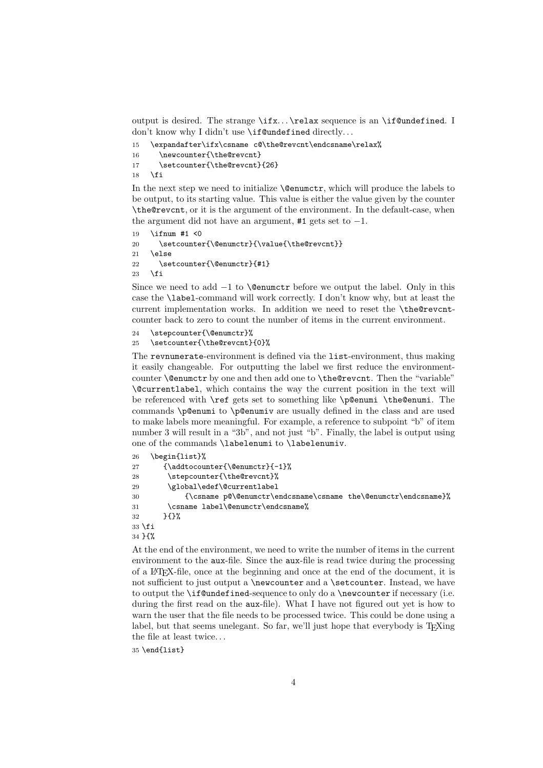output is desired. The strange \ifx... \relax sequence is an \if@undefined. I don't know why I didn't use **\if@undefined** directly...

```
15 \expandafter\ifx\csname c@\the@revcnt\endcsname\relax%
16 \newcounter{\the@revcnt}
17 \setcounter{\the@revcnt}{26}
18 \fi
```
In the next step we need to initialize \@enumctr, which will produce the labels to be output, to its starting value. This value is either the value given by the counter \the@revcnt, or it is the argument of the environment. In the default-case, when the argument did not have an argument,  $#1$  gets set to  $-1$ .

```
19 \ifnum #1 <0
20 \setcounter{\@enumctr}{\value{\the@revcnt}}
21 \else
22 \setcounter{\@enumctr}{#1}
23 \overline{1}
```
Since we need to add  $-1$  to **\@enumctr** before we output the label. Only in this case the \label-command will work correctly. I don't know why, but at least the current implementation works. In addition we need to reset the \the@revcntcounter back to zero to count the number of items in the current environment.

```
24 \stepcounter{\@enumctr}%
```

```
25 \setcounter{\the@revcnt}{0}%
```
The revnumerate-environment is defined via the list-environment, thus making it easily changeable. For outputting the label we first reduce the environmentcounter \@enumctr by one and then add one to \the@revcnt. Then the "variable" \@currentlabel, which contains the way the current position in the text will be referenced with \ref gets set to something like \p@enumi \the@enumi. The commands \p@enumi to \p@enumiv are usually defined in the class and are used to make labels more meaningful. For example, a reference to subpoint "b" of item number 3 will result in a "3b", and not just "b". Finally, the label is output using one of the commands \labelenumi to \labelenumiv.

| 26     | \begin{list}%                                                                      |
|--------|------------------------------------------------------------------------------------|
| 27     | ${\addtocounter}$ {\addtocounter{\@enumctr}{-1}%}                                  |
| 28     | \stepcounter{\the@revcnt}%                                                         |
| 29     | \global\edef\@currentlabel                                                         |
| 30     | ${\cosname p@\varrho\$ (contently end content and the enumer ${\frac{p}{\varrho}}$ |
| 31     | \csname label\@enumctr\endcsname%                                                  |
| 32     | ን የአየ                                                                              |
| 33 \fi |                                                                                    |
| 34 H%  |                                                                                    |
|        |                                                                                    |

At the end of the environment, we need to write the number of items in the current environment to the aux-file. Since the aux-file is read twice during the processing of a LATEX-file, once at the beginning and once at the end of the document, it is not sufficient to just output a \newcounter and a \setcounter. Instead, we have to output the **\if@undefined-sequence to only do a \newcounter** if necessary (i.e. during the first read on the aux-file). What I have not figured out yet is how to warn the user that the file needs to be processed twice. This could be done using a label, but that seems unelegant. So far, we'll just hope that everybody is T<sub>E</sub>Xing the file at least twice. . .

35 \end{list}